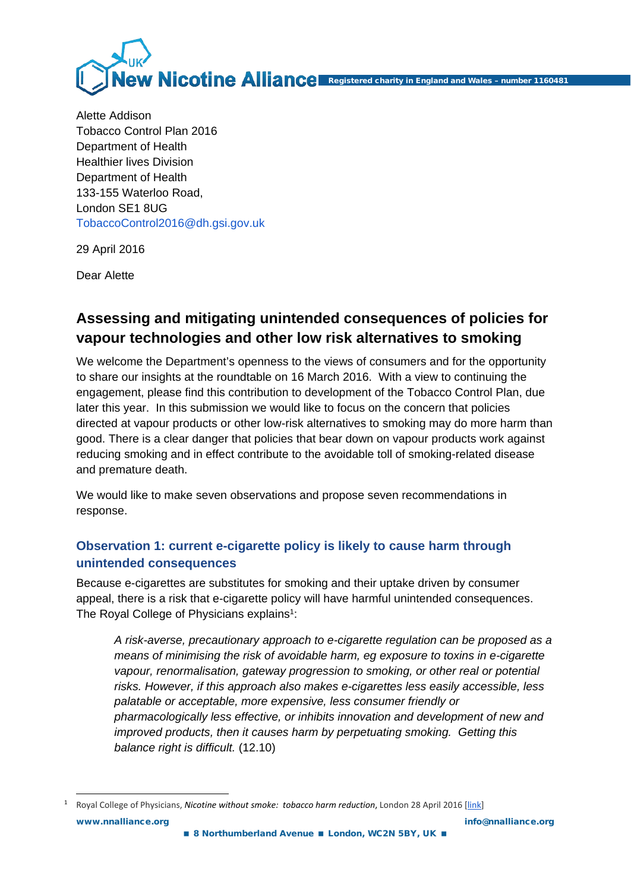<u>rv</u> Registered charity in England and Wales – number 1160481

Alette Addison Tobacco Control Plan 2016 Department of Health Healthier lives Division Department of Health 133-155 Waterloo Road, London SE1 8UG [TobaccoControl2016@dh.gsi.gov.uk](mailto:TobaccoControl2016@dh.gsi.gov.uk)

29 April 2016

Dear Alette

# **Assessing and mitigating unintended consequences of policies for vapour technologies and other low risk alternatives to smoking**

We welcome the Department's openness to the views of consumers and for the opportunity to share our insights at the roundtable on 16 March 2016. With a view to continuing the engagement, please find this contribution to development of the Tobacco Control Plan, due later this year. In this submission we would like to focus on the concern that policies directed at vapour products or other low-risk alternatives to smoking may do more harm than good. There is a clear danger that policies that bear down on vapour products work against reducing smoking and in effect contribute to the avoidable toll of smoking-related disease and premature death.

We would like to make seven observations and propose seven recommendations in response.

### **Observation 1: current e-cigarette policy is likely to cause harm through unintended consequences**

Because e-cigarettes are substitutes for smoking and their uptake driven by consumer appeal, there is a risk that e-cigarette policy will have harmful unintended consequences. The Royal College of Physicians explains<sup>1</sup>:

*A risk-averse, precautionary approach to e-cigarette regulation can be proposed as a means of minimising the risk of avoidable harm, eg exposure to toxins in e-cigarette vapour, renormalisation, gateway progression to smoking, or other real or potential risks. However, if this approach also makes e-cigarettes less easily accessible, less palatable or acceptable, more expensive, less consumer friendly or pharmacologically less effective, or inhibits innovation and development of new and improved products, then it causes harm by perpetuating smoking. Getting this balance right is difficult.* (12.10)

www.nnalliance.org info@nnalliance.org info@nnalliance.org info@nnalliance.org <u>.</u> <sup>1</sup> Royal College of Physicians, *Nicotine without smoke: tobacco harm reduction*, London 28 April 2016 [\[link\]](https://www.rcplondon.ac.uk/projects/outputs/nicotine-without-smoke-tobacco-harm-reduction)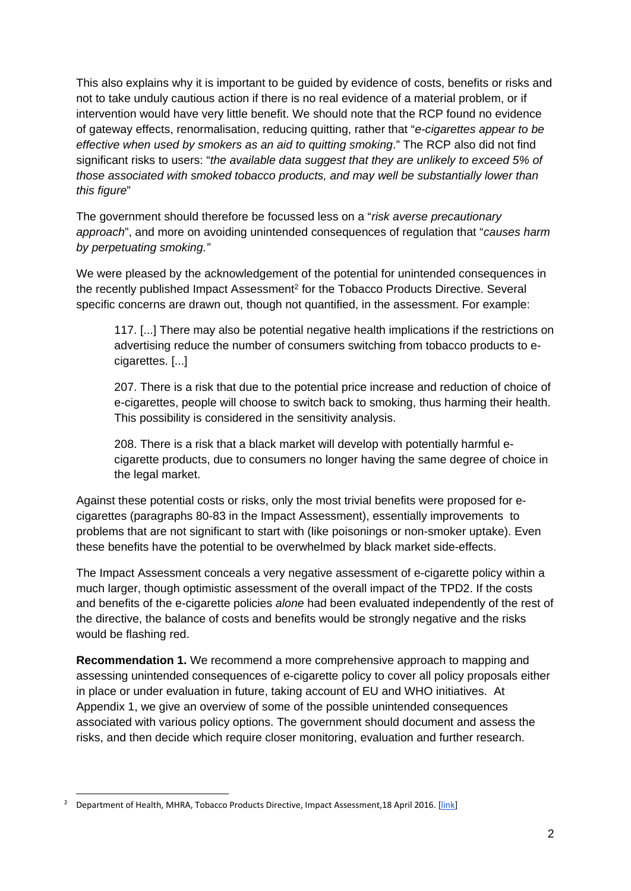This also explains why it is important to be guided by evidence of costs, benefits or risks and not to take unduly cautious action if there is no real evidence of a material problem, or if intervention would have very little benefit. We should note that the RCP found no evidence of gateway effects, renormalisation, reducing quitting, rather that "*e-cigarettes appear to be effective when used by smokers as an aid to quitting smoking*." The RCP also did not find significant risks to users: "*the available data suggest that they are unlikely to exceed 5% of those associated with smoked tobacco products, and may well be substantially lower than this figure*"

The government should therefore be focussed less on a "*risk averse precautionary approach*", and more on avoiding unintended consequences of regulation that "*causes harm by perpetuating smoking."*

We were pleased by the acknowledgement of the potential for unintended consequences in the recently published Impact Assessment<sup>2</sup> for the Tobacco Products Directive. Several specific concerns are drawn out, though not quantified, in the assessment. For example:

117. [...] There may also be potential negative health implications if the restrictions on advertising reduce the number of consumers switching from tobacco products to ecigarettes. [...]

207. There is a risk that due to the potential price increase and reduction of choice of e-cigarettes, people will choose to switch back to smoking, thus harming their health. This possibility is considered in the sensitivity analysis.

208. There is a risk that a black market will develop with potentially harmful ecigarette products, due to consumers no longer having the same degree of choice in the legal market.

Against these potential costs or risks, only the most trivial benefits were proposed for ecigarettes (paragraphs 80-83 in the Impact Assessment), essentially improvements to problems that are not significant to start with (like poisonings or non-smoker uptake). Even these benefits have the potential to be overwhelmed by black market side-effects.

The Impact Assessment conceals a very negative assessment of e-cigarette policy within a much larger, though optimistic assessment of the overall impact of the TPD2. If the costs and benefits of the e-cigarette policies *alone* had been evaluated independently of the rest of the directive, the balance of costs and benefits would be strongly negative and the risks would be flashing red.

**Recommendation 1.** We recommend a more comprehensive approach to mapping and assessing unintended consequences of e-cigarette policy to cover all policy proposals either in place or under evaluation in future, taking account of EU and WHO initiatives. At Appendix 1, we give an overview of some of the possible unintended consequences associated with various policy options. The government should document and assess the risks, and then decide which require closer monitoring, evaluation and further research.

<sup>&</sup>lt;u>.</u> <sup>2</sup> Department of Health, MHRA, Tobacco Products Directive, Impact Assessment, 18 April 2016. [\[link\]](http://www.legislation.gov.uk/ukia/2016/109/pdfs/ukia_20160109_en.pdf)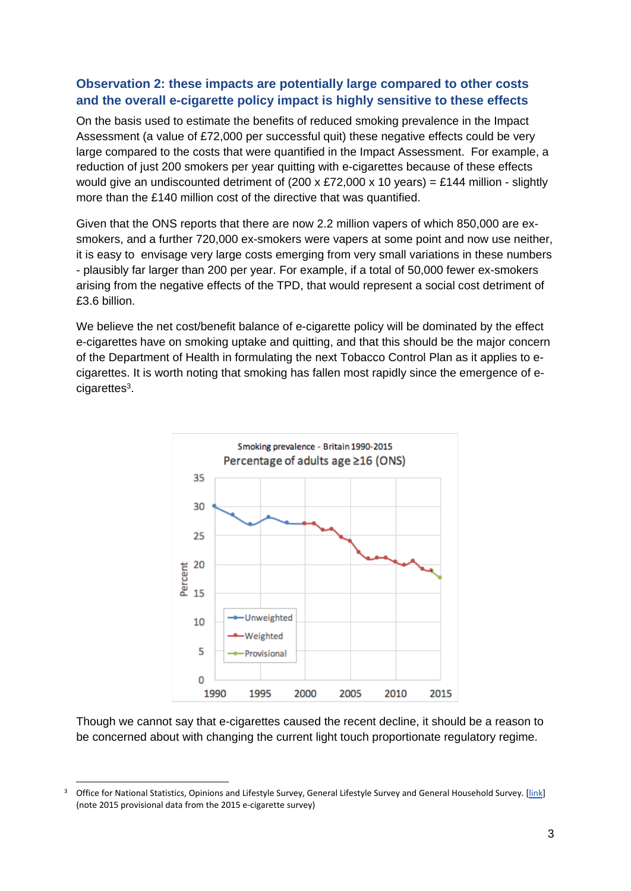#### **Observation 2: these impacts are potentially large compared to other costs and the overall e-cigarette policy impact is highly sensitive to these effects**

On the basis used to estimate the benefits of reduced smoking prevalence in the Impact Assessment (a value of £72,000 per successful quit) these negative effects could be very large compared to the costs that were quantified in the Impact Assessment. For example, a reduction of just 200 smokers per year quitting with e-cigarettes because of these effects would give an undiscounted detriment of (200 x £72,000 x 10 years) = £144 million - slightly more than the £140 million cost of the directive that was quantified.

Given that the ONS reports that there are now 2.2 million vapers of which 850,000 are exsmokers, and a further 720,000 ex-smokers were vapers at some point and now use neither, it is easy to envisage very large costs emerging from very small variations in these numbers - plausibly far larger than 200 per year. For example, if a total of 50,000 fewer ex-smokers arising from the negative effects of the TPD, that would represent a social cost detriment of £3.6 billion.

We believe the net cost/benefit balance of e-cigarette policy will be dominated by the effect e-cigarettes have on smoking uptake and quitting, and that this should be the major concern of the Department of Health in formulating the next Tobacco Control Plan as it applies to ecigarettes. It is worth noting that smoking has fallen most rapidly since the emergence of ecigarettes<sup>3</sup>.



Though we cannot say that e-cigarettes caused the recent decline, it should be a reason to be concerned about with changing the current light touch proportionate regulatory regime.

<sup>-</sup><sup>3</sup> Office for National Statistics, Opinions and Lifestyle Survey, General Lifestyle Survey and General Household Survey. [\[link\]](http://www.ons.gov.uk/peoplepopulationandcommunity/healthandsocialcare/healthandlifeexpectancies/bulletins/adultsmokinghabitsingreatbritain/2014) (note 2015 provisional data from the 2015 e-cigarette survey)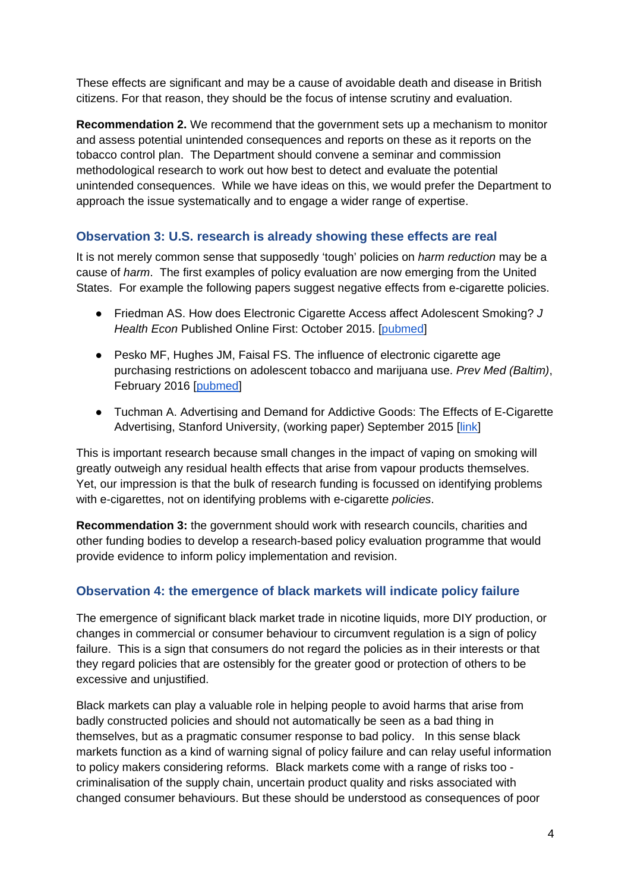These effects are significant and may be a cause of avoidable death and disease in British citizens. For that reason, they should be the focus of intense scrutiny and evaluation.

**Recommendation 2.** We recommend that the government sets up a mechanism to monitor and assess potential unintended consequences and reports on these as it reports on the tobacco control plan. The Department should convene a seminar and commission methodological research to work out how best to detect and evaluate the potential unintended consequences. While we have ideas on this, we would prefer the Department to approach the issue systematically and to engage a wider range of expertise.

#### **Observation 3: U.S. research is already showing these effects are real**

It is not merely common sense that supposedly 'tough' policies on *harm reduction* may be a cause of *harm*. The first examples of policy evaluation are now emerging from the United States. For example the following papers suggest negative effects from e-cigarette policies.

- Friedman AS. How does Electronic Cigarette Access affect Adolescent Smoking? *J Health Econ* Published Online First: October 2015. [\[pubmed\]](http://www.ncbi.nlm.nih.gov/pubmed/?term=26583343)
- Pesko MF, Hughes JM, Faisal FS. The influence of electronic cigarette age purchasing restrictions on adolescent tobacco and marijuana use. *Prev Med (Baltim)*, February 2016 [\[pubmed\]](http://www.ncbi.nlm.nih.gov/pubmed/26971853)
- Tuchman A. Advertising and Demand for Addictive Goods: The Effects of E-Cigarette Advertising, Stanford University, (working paper) September 2015 [\[link\]](http://web.stanford.edu/%7Etuchman/JMP.pdf)

This is important research because small changes in the impact of vaping on smoking will greatly outweigh any residual health effects that arise from vapour products themselves. Yet, our impression is that the bulk of research funding is focussed on identifying problems with e-cigarettes, not on identifying problems with e-cigarette *policies*.

**Recommendation 3:** the government should work with research councils, charities and other funding bodies to develop a research-based policy evaluation programme that would provide evidence to inform policy implementation and revision.

#### **Observation 4: the emergence of black markets will indicate policy failure**

The emergence of significant black market trade in nicotine liquids, more DIY production, or changes in commercial or consumer behaviour to circumvent regulation is a sign of policy failure. This is a sign that consumers do not regard the policies as in their interests or that they regard policies that are ostensibly for the greater good or protection of others to be excessive and unjustified.

Black markets can play a valuable role in helping people to avoid harms that arise from badly constructed policies and should not automatically be seen as a bad thing in themselves, but as a pragmatic consumer response to bad policy. In this sense black markets function as a kind of warning signal of policy failure and can relay useful information to policy makers considering reforms. Black markets come with a range of risks too criminalisation of the supply chain, uncertain product quality and risks associated with changed consumer behaviours. But these should be understood as consequences of poor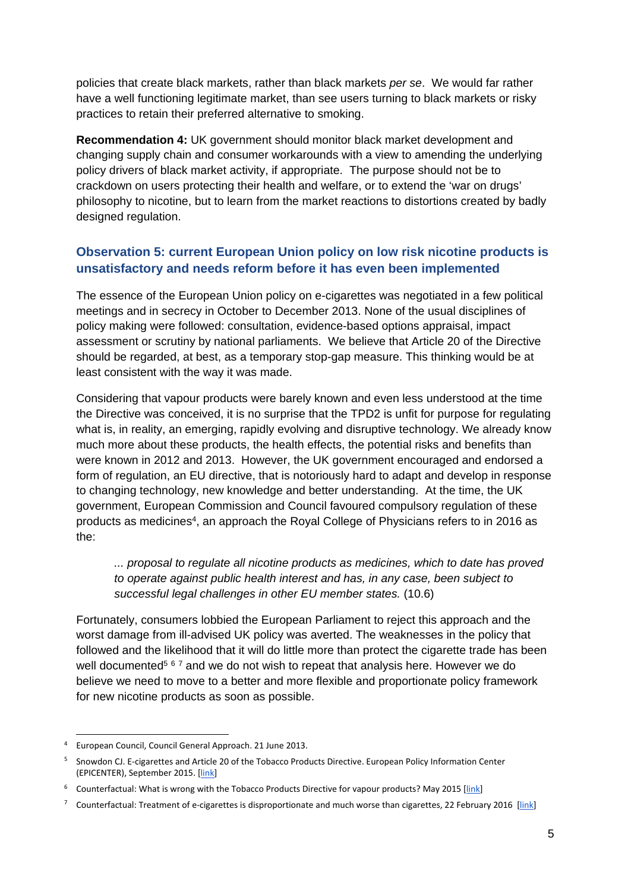policies that create black markets, rather than black markets *per se*. We would far rather have a well functioning legitimate market, than see users turning to black markets or risky practices to retain their preferred alternative to smoking.

**Recommendation 4:** UK government should monitor black market development and changing supply chain and consumer workarounds with a view to amending the underlying policy drivers of black market activity, if appropriate. The purpose should not be to crackdown on users protecting their health and welfare, or to extend the 'war on drugs' philosophy to nicotine, but to learn from the market reactions to distortions created by badly designed regulation.

#### **Observation 5: current European Union policy on low risk nicotine products is unsatisfactory and needs reform before it has even been implemented**

The essence of the European Union policy on e-cigarettes was negotiated in a few political meetings and in secrecy in October to December 2013. None of the usual disciplines of policy making were followed: consultation, evidence-based options appraisal, impact assessment or scrutiny by national parliaments. We believe that Article 20 of the Directive should be regarded, at best, as a temporary stop-gap measure. This thinking would be at least consistent with the way it was made.

Considering that vapour products were barely known and even less understood at the time the Directive was conceived, it is no surprise that the TPD2 is unfit for purpose for regulating what is, in reality, an emerging, rapidly evolving and disruptive technology. We already know much more about these products, the health effects, the potential risks and benefits than were known in 2012 and 2013. However, the UK government encouraged and endorsed a form of regulation, an EU directive, that is notoriously hard to adapt and develop in response to changing technology, new knowledge and better understanding. At the time, the UK government, European Commission and Council favoured compulsory regulation of these products as medicines<sup>4</sup>, an approach the Royal College of Physicians refers to in 2016 as the:

*... proposal to regulate all nicotine products as medicines, which to date has proved to operate against public health interest and has, in any case, been subject to successful legal challenges in other EU member states.* (10.6)

Fortunately, consumers lobbied the European Parliament to reject this approach and the worst damage from ill-advised UK policy was averted. The weaknesses in the policy that followed and the likelihood that it will do little more than protect the cigarette trade has been well documented<sup>5 6 7</sup> and we do not wish to repeat that analysis here. However we do believe we need to move to a better and more flexible and proportionate policy framework for new nicotine products as soon as possible.

-

<sup>4</sup> European Council, Council General Approach. 21 June 2013.

<sup>5</sup> Snowdon CJ. E-cigarettes and Article 20 of the Tobacco Products Directive. European Policy Information Center (EPICENTER), September 2015. [\[link\]](http://www.epicenternetwork.eu/wp-content/uploads/2015/09/EPICENTER-Briefing-E-cigarettes-and-Article-20-14th-September-2015.pdf)

<sup>&</sup>lt;sup>6</sup> Counterfactual: What is wrong with the Tobacco Products Directive for vapour products? May 2015 [\[link\]](http://www.clivebates.com/?p=3026)

<sup>&</sup>lt;sup>7</sup> Counterfactual: Treatment of e-cigarettes is disproportionate and much worse than cigarettes, 22 February 2016  $[link]$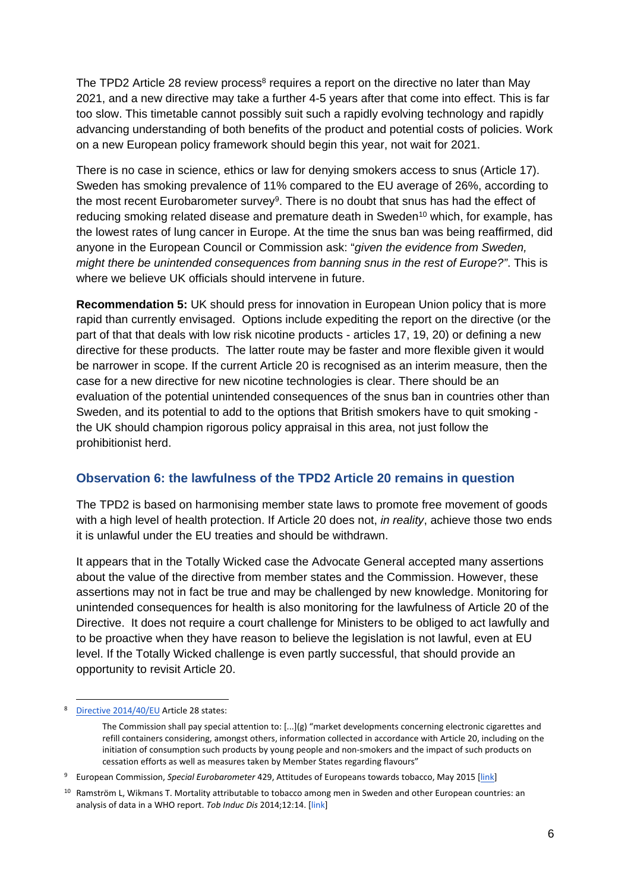The TPD2 Article 28 review process<sup>8</sup> requires a report on the directive no later than May 2021, and a new directive may take a further 4-5 years after that come into effect. This is far too slow. This timetable cannot possibly suit such a rapidly evolving technology and rapidly advancing understanding of both benefits of the product and potential costs of policies. Work on a new European policy framework should begin this year, not wait for 2021.

There is no case in science, ethics or law for denying smokers access to snus (Article 17). Sweden has smoking prevalence of 11% compared to the EU average of 26%, according to the most recent Eurobarometer survey<sup>9</sup>. There is no doubt that snus has had the effect of reducing smoking related disease and premature death in Sweden<sup>10</sup> which, for example, has the lowest rates of lung cancer in Europe. At the time the snus ban was being reaffirmed, did anyone in the European Council or Commission ask: "*given the evidence from Sweden, might there be unintended consequences from banning snus in the rest of Europe?"*. This is where we believe UK officials should intervene in future.

**Recommendation 5:** UK should press for innovation in European Union policy that is more rapid than currently envisaged. Options include expediting the report on the directive (or the part of that that deals with low risk nicotine products - articles 17, 19, 20) or defining a new directive for these products. The latter route may be faster and more flexible given it would be narrower in scope. If the current Article 20 is recognised as an interim measure, then the case for a new directive for new nicotine technologies is clear. There should be an evaluation of the potential unintended consequences of the snus ban in countries other than Sweden, and its potential to add to the options that British smokers have to quit smoking the UK should champion rigorous policy appraisal in this area, not just follow the prohibitionist herd.

#### **Observation 6: the lawfulness of the TPD2 Article 20 remains in question**

The TPD2 is based on harmonising member state laws to promote free movement of goods with a high level of health protection. If Article 20 does not, *in reality*, achieve those two ends it is unlawful under the EU treaties and should be withdrawn.

It appears that in the Totally Wicked case the Advocate General accepted many assertions about the value of the directive from member states and the Commission. However, these assertions may not in fact be true and may be challenged by new knowledge. Monitoring for unintended consequences for health is also monitoring for the lawfulness of Article 20 of the Directive. It does not require a court challenge for Ministers to be obliged to act lawfully and to be proactive when they have reason to believe the legislation is not lawful, even at EU level. If the Totally Wicked challenge is even partly successful, that should provide an opportunity to revisit Article 20.

<u>.</u>

<sup>8</sup> [Directive 2014/40/EU](http://ec.europa.eu/health/tobacco/docs/dir_201440_en.pdf) Article 28 states:

The Commission shall pay special attention to: [...](g) "market developments concerning electronic cigarettes and refill containers considering, amongst others, information collected in accordance with Article 20, including on the initiation of consumption such products by young people and non-smokers and the impact of such products on cessation efforts as well as measures taken by Member States regarding flavours"

<sup>9</sup> European Commission, *Special Eurobarometer* 429, Attitudes of Europeans towards tobacco, May 2015 [\[link\]](http://ec.europa.eu/public_opinion/archives/eb_special_439_420_en.htm#429)

<sup>&</sup>lt;sup>10</sup> Ramström L, Wikmans T. Mortality attributable to tobacco among men in Sweden and other European countries: an analysis of data in a WHO report. *Tob Induc Dis* 2014;12:14. [\[link\]](http://www.ncbi.nlm.nih.gov/pmc/articles/PMC4154048/?tool=pmcentrez)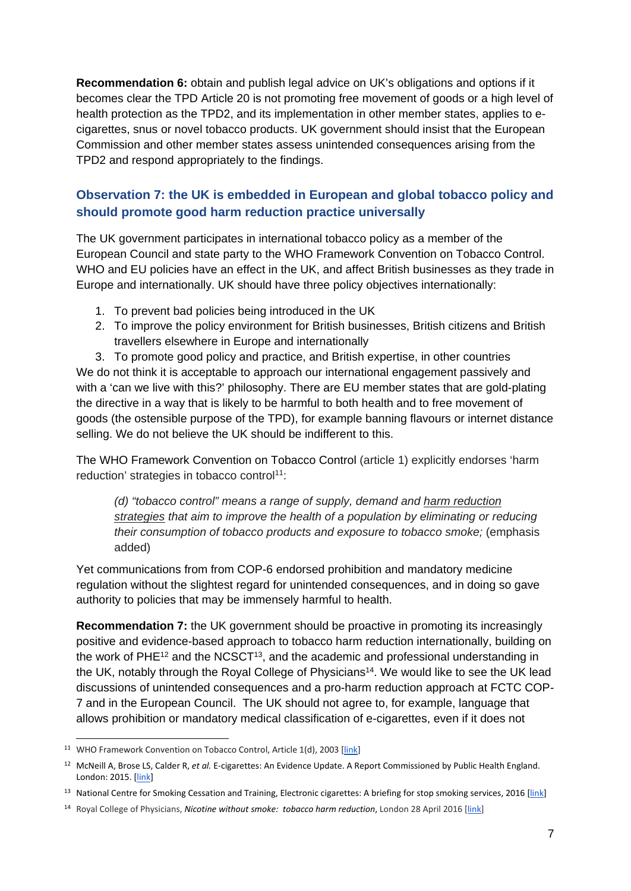**Recommendation 6:** obtain and publish legal advice on UK's obligations and options if it becomes clear the TPD Article 20 is not promoting free movement of goods or a high level of health protection as the TPD2, and its implementation in other member states, applies to ecigarettes, snus or novel tobacco products. UK government should insist that the European Commission and other member states assess unintended consequences arising from the TPD2 and respond appropriately to the findings.

## **Observation 7: the UK is embedded in European and global tobacco policy and should promote good harm reduction practice universally**

The UK government participates in international tobacco policy as a member of the European Council and state party to the WHO Framework Convention on Tobacco Control. WHO and EU policies have an effect in the UK, and affect British businesses as they trade in Europe and internationally. UK should have three policy objectives internationally:

- 1. To prevent bad policies being introduced in the UK
- 2. To improve the policy environment for British businesses, British citizens and British travellers elsewhere in Europe and internationally

3. To promote good policy and practice, and British expertise, in other countries We do not think it is acceptable to approach our international engagement passively and with a 'can we live with this?' philosophy. There are EU member states that are gold-plating the directive in a way that is likely to be harmful to both health and to free movement of goods (the ostensible purpose of the TPD), for example banning flavours or internet distance selling. We do not believe the UK should be indifferent to this.

The WHO Framework Convention on Tobacco Control (article 1) explicitly endorses 'harm reduction' strategies in tobacco control<sup>11</sup>:

*(d) "tobacco control" means a range of supply, demand and harm reduction strategies that aim to improve the health of a population by eliminating or reducing their consumption of tobacco products and exposure to tobacco smoke;* (emphasis added)

Yet communications from from COP-6 endorsed prohibition and mandatory medicine regulation without the slightest regard for unintended consequences, and in doing so gave authority to policies that may be immensely harmful to health.

**Recommendation 7:** the UK government should be proactive in promoting its increasingly positive and evidence-based approach to tobacco harm reduction internationally, building on the work of PHE<sup>12</sup> and the NCSCT<sup>13</sup>, and the academic and professional understanding in the UK, notably through the Royal College of Physicians<sup>14</sup>. We would like to see the UK lead discussions of unintended consequences and a pro-harm reduction approach at FCTC COP-7 and in the European Council. The UK should not agree to, for example, language that allows prohibition or mandatory medical classification of e-cigarettes, even if it does not

-

<sup>&</sup>lt;sup>11</sup> WHO Framework Convention on Tobacco Control, Article 1(d), 2003 [\[link\]](http://apps.who.int/iris/bitstream/10665/42811/1/9241591013.pdf)

<sup>12</sup> McNeill A, Brose LS, Calder R, *et al.* E-cigarettes: An Evidence Update. A Report Commissioned by Public Health England. London: 2015. [\[link\]](https://www.gov.uk/government/uploads/system/uploads/attachment_data/file/457102/Ecigarettes_an_evidence_update_A_report_commissioned_by_Public_Health_England_FINAL.pdf)

<sup>&</sup>lt;sup>13</sup> National Centre for Smoking Cessation and Training, Electronic cigarettes: A briefing for stop smoking services, 2016 [\[link\]](http://www.ncsct.co.uk/publication_electronic_cigarette_briefing.php)

<sup>14</sup> Royal College of Physicians, *Nicotine without smoke: tobacco harm reduction*, London 28 April 2016 [\[link\]](https://www.rcplondon.ac.uk/projects/outputs/nicotine-without-smoke-tobacco-harm-reduction)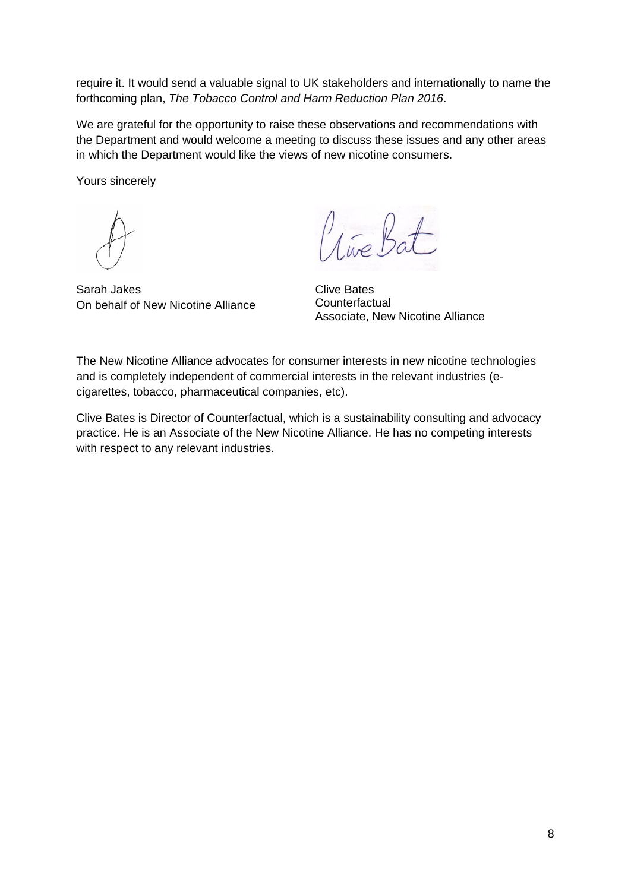require it. It would send a valuable signal to UK stakeholders and internationally to name the forthcoming plan, *The Tobacco Control and Harm Reduction Plan 2016*.

We are grateful for the opportunity to raise these observations and recommendations with the Department and would welcome a meeting to discuss these issues and any other areas in which the Department would like the views of new nicotine consumers.

Yours sincerely

live Bat

Sarah Jakes On behalf of New Nicotine Alliance

Clive Bates **Counterfactual** Associate, New Nicotine Alliance

The New Nicotine Alliance advocates for consumer interests in new nicotine technologies and is completely independent of commercial interests in the relevant industries (ecigarettes, tobacco, pharmaceutical companies, etc).

Clive Bates is Director of Counterfactual, which is a sustainability consulting and advocacy practice. He is an Associate of the New Nicotine Alliance. He has no competing interests with respect to any relevant industries.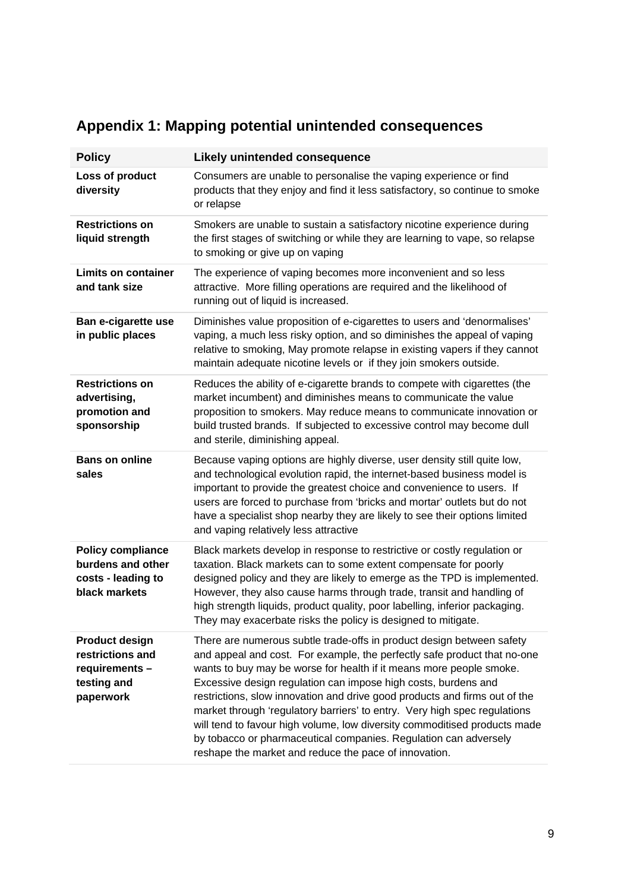# **Appendix 1: Mapping potential unintended consequences**

| <b>Policy</b>                                                                           | <b>Likely unintended consequence</b>                                                                                                                                                                                                                                                                                                                                                                                                                                                                                                                                                                                                                            |
|-----------------------------------------------------------------------------------------|-----------------------------------------------------------------------------------------------------------------------------------------------------------------------------------------------------------------------------------------------------------------------------------------------------------------------------------------------------------------------------------------------------------------------------------------------------------------------------------------------------------------------------------------------------------------------------------------------------------------------------------------------------------------|
| Loss of product<br>diversity                                                            | Consumers are unable to personalise the vaping experience or find<br>products that they enjoy and find it less satisfactory, so continue to smoke<br>or relapse                                                                                                                                                                                                                                                                                                                                                                                                                                                                                                 |
| <b>Restrictions on</b><br>liquid strength                                               | Smokers are unable to sustain a satisfactory nicotine experience during<br>the first stages of switching or while they are learning to vape, so relapse<br>to smoking or give up on vaping                                                                                                                                                                                                                                                                                                                                                                                                                                                                      |
| <b>Limits on container</b><br>and tank size                                             | The experience of vaping becomes more inconvenient and so less<br>attractive. More filling operations are required and the likelihood of<br>running out of liquid is increased.                                                                                                                                                                                                                                                                                                                                                                                                                                                                                 |
| Ban e-cigarette use<br>in public places                                                 | Diminishes value proposition of e-cigarettes to users and 'denormalises'<br>vaping, a much less risky option, and so diminishes the appeal of vaping<br>relative to smoking, May promote relapse in existing vapers if they cannot<br>maintain adequate nicotine levels or if they join smokers outside.                                                                                                                                                                                                                                                                                                                                                        |
| <b>Restrictions on</b><br>advertising,<br>promotion and<br>sponsorship                  | Reduces the ability of e-cigarette brands to compete with cigarettes (the<br>market incumbent) and diminishes means to communicate the value<br>proposition to smokers. May reduce means to communicate innovation or<br>build trusted brands. If subjected to excessive control may become dull<br>and sterile, diminishing appeal.                                                                                                                                                                                                                                                                                                                            |
| <b>Bans on online</b><br>sales                                                          | Because vaping options are highly diverse, user density still quite low,<br>and technological evolution rapid, the internet-based business model is<br>important to provide the greatest choice and convenience to users. If<br>users are forced to purchase from 'bricks and mortar' outlets but do not<br>have a specialist shop nearby they are likely to see their options limited<br>and vaping relatively less attractive                                                                                                                                                                                                                                 |
| <b>Policy compliance</b><br>burdens and other<br>costs - leading to<br>black markets    | Black markets develop in response to restrictive or costly regulation or<br>taxation. Black markets can to some extent compensate for poorly<br>designed policy and they are likely to emerge as the TPD is implemented.<br>However, they also cause harms through trade, transit and handling of<br>high strength liquids, product quality, poor labelling, inferior packaging.<br>They may exacerbate risks the policy is designed to mitigate.                                                                                                                                                                                                               |
| <b>Product design</b><br>restrictions and<br>requirements -<br>testing and<br>paperwork | There are numerous subtle trade-offs in product design between safety<br>and appeal and cost. For example, the perfectly safe product that no-one<br>wants to buy may be worse for health if it means more people smoke.<br>Excessive design regulation can impose high costs, burdens and<br>restrictions, slow innovation and drive good products and firms out of the<br>market through 'regulatory barriers' to entry. Very high spec regulations<br>will tend to favour high volume, low diversity commoditised products made<br>by tobacco or pharmaceutical companies. Regulation can adversely<br>reshape the market and reduce the pace of innovation. |